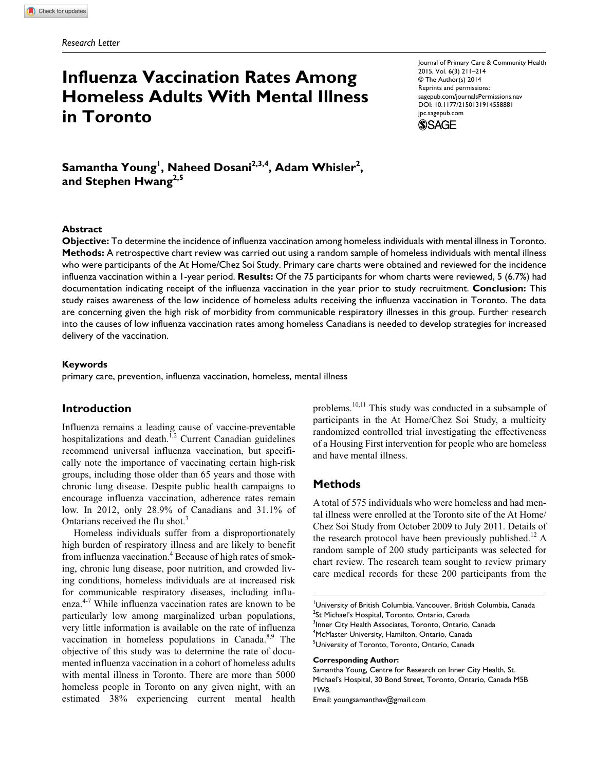# **Influenza Vaccination Rates Among Homeless Adults With Mental Illness in Toronto**

Journal of Primary Care & Community Health 2015, Vol. 6(3) 211–214 © The Author(s) 2014 Reprints and permissions: sagepub.com/journalsPermissions.nav DOI: 10.1177/2150131914558881 jpc.sagepub.com



 $\mathsf{Samantha \, Young}^!$ ,  $\mathsf{Naheed \, Dosani}^{2,3,4}$ ,  $\mathsf{Adam \, Whisler}^2$ , and Stephen Hwang<sup>2,5</sup>

## **Abstract**

**Objective:** To determine the incidence of influenza vaccination among homeless individuals with mental illness in Toronto. **Methods:** A retrospective chart review was carried out using a random sample of homeless individuals with mental illness who were participants of the At Home/Chez Soi Study. Primary care charts were obtained and reviewed for the incidence influenza vaccination within a 1-year period. **Results:** Of the 75 participants for whom charts were reviewed, 5 (6.7%) had documentation indicating receipt of the influenza vaccination in the year prior to study recruitment. **Conclusion:** This study raises awareness of the low incidence of homeless adults receiving the influenza vaccination in Toronto. The data are concerning given the high risk of morbidity from communicable respiratory illnesses in this group. Further research into the causes of low influenza vaccination rates among homeless Canadians is needed to develop strategies for increased delivery of the vaccination.

#### **Keywords**

primary care, prevention, influenza vaccination, homeless, mental illness

# **Introduction**

Influenza remains a leading cause of vaccine-preventable hospitalizations and death.<sup>1,2</sup> Current Canadian guidelines recommend universal influenza vaccination, but specifically note the importance of vaccinating certain high-risk groups, including those older than 65 years and those with chronic lung disease. Despite public health campaigns to encourage influenza vaccination, adherence rates remain low. In 2012, only 28.9% of Canadians and 31.1% of Ontarians received the flu shot.<sup>3</sup>

Homeless individuals suffer from a disproportionately high burden of respiratory illness and are likely to benefit from influenza vaccination.<sup>4</sup> Because of high rates of smoking, chronic lung disease, poor nutrition, and crowded living conditions, homeless individuals are at increased risk for communicable respiratory diseases, including influenza.4-7 While influenza vaccination rates are known to be particularly low among marginalized urban populations, very little information is available on the rate of influenza vaccination in homeless populations in Canada. $8,9$  The objective of this study was to determine the rate of documented influenza vaccination in a cohort of homeless adults with mental illness in Toronto. There are more than 5000 homeless people in Toronto on any given night, with an estimated 38% experiencing current mental health

problems.10,11 This study was conducted in a subsample of participants in the At Home/Chez Soi Study, a multicity randomized controlled trial investigating the effectiveness of a Housing First intervention for people who are homeless and have mental illness.

## **Methods**

A total of 575 individuals who were homeless and had mental illness were enrolled at the Toronto site of the At Home/ Chez Soi Study from October 2009 to July 2011. Details of the research protocol have been previously published.<sup>12</sup> A random sample of 200 study participants was selected for chart review. The research team sought to review primary care medical records for these 200 participants from the

1 University of British Columbia, Vancouver, British Columbia, Canada <sup>2</sup>St Michael's Hospital, Toronto, Ontario, Canada <sup>3</sup>Inner City Health Associates, Toronto, Ontario, Canada

4 McMaster University, Hamilton, Ontario, Canada <sup>5</sup>University of Toronto, Toronto, Ontario, Canada

#### **Corresponding Author:**

Samantha Young, Centre for Research on Inner City Health, St. Michael's Hospital, 30 Bond Street, Toronto, Ontario, Canada M5B 1W8.

Email: youngsamanthav@gmail.com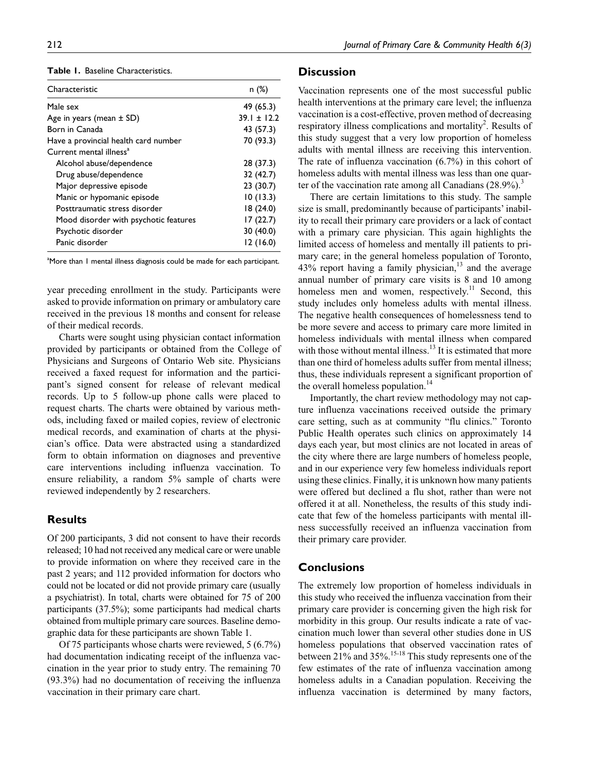**Table 1.** Baseline Characteristics.

| Characteristic                        | n(%)          |
|---------------------------------------|---------------|
| Male sex                              | 49 (65.3)     |
| Age in years (mean $\pm$ SD)          | $39.1 + 12.2$ |
| Born in Canada                        | 43 (57.3)     |
| Have a provincial health card number  | 70 (93.3)     |
| Current mental illness <sup>a</sup>   |               |
| Alcohol abuse/dependence              | 28 (37.3)     |
| Drug abuse/dependence                 | 32 (42.7)     |
| Major depressive episode              | 23(30.7)      |
| Manic or hypomanic episode            | 10(13.3)      |
| Posttraumatic stress disorder         | 18(24.0)      |
| Mood disorder with psychotic features | 17(22.7)      |
| Psychotic disorder                    | 30 (40.0)     |
| Panic disorder                        | 12(16.0)      |

<sup>a</sup>More than I mental illness diagnosis could be made for each participant.

year preceding enrollment in the study. Participants were asked to provide information on primary or ambulatory care received in the previous 18 months and consent for release of their medical records.

Charts were sought using physician contact information provided by participants or obtained from the College of Physicians and Surgeons of Ontario Web site. Physicians received a faxed request for information and the participant's signed consent for release of relevant medical records. Up to 5 follow-up phone calls were placed to request charts. The charts were obtained by various methods, including faxed or mailed copies, review of electronic medical records, and examination of charts at the physician's office. Data were abstracted using a standardized form to obtain information on diagnoses and preventive care interventions including influenza vaccination. To ensure reliability, a random 5% sample of charts were reviewed independently by 2 researchers.

# **Results**

Of 200 participants, 3 did not consent to have their records released; 10 had not received any medical care or were unable to provide information on where they received care in the past 2 years; and 112 provided information for doctors who could not be located or did not provide primary care (usually a psychiatrist). In total, charts were obtained for 75 of 200 participants (37.5%); some participants had medical charts obtained from multiple primary care sources. Baseline demographic data for these participants are shown Table 1.

Of 75 participants whose charts were reviewed, 5 (6.7%) had documentation indicating receipt of the influenza vaccination in the year prior to study entry. The remaining 70 (93.3%) had no documentation of receiving the influenza vaccination in their primary care chart.

# **Discussion**

Vaccination represents one of the most successful public health interventions at the primary care level; the influenza vaccination is a cost-effective, proven method of decreasing respiratory illness complications and mortality<sup>2</sup>. Results of this study suggest that a very low proportion of homeless adults with mental illness are receiving this intervention. The rate of influenza vaccination (6.7%) in this cohort of homeless adults with mental illness was less than one quarter of the vaccination rate among all Canadians  $(28.9\%)$ .

There are certain limitations to this study. The sample size is small, predominantly because of participants' inability to recall their primary care providers or a lack of contact with a primary care physician. This again highlights the limited access of homeless and mentally ill patients to primary care; in the general homeless population of Toronto,  $43\%$  report having a family physician,<sup>13</sup> and the average annual number of primary care visits is 8 and 10 among homeless men and women, respectively.<sup>11</sup> Second, this study includes only homeless adults with mental illness. The negative health consequences of homelessness tend to be more severe and access to primary care more limited in homeless individuals with mental illness when compared with those without mental illness.<sup>13</sup> It is estimated that more than one third of homeless adults suffer from mental illness; thus, these individuals represent a significant proportion of the overall homeless population.<sup>14</sup>

Importantly, the chart review methodology may not capture influenza vaccinations received outside the primary care setting, such as at community "flu clinics." Toronto Public Health operates such clinics on approximately 14 days each year, but most clinics are not located in areas of the city where there are large numbers of homeless people, and in our experience very few homeless individuals report using these clinics. Finally, it is unknown how many patients were offered but declined a flu shot, rather than were not offered it at all. Nonetheless, the results of this study indicate that few of the homeless participants with mental illness successfully received an influenza vaccination from their primary care provider.

# **Conclusions**

The extremely low proportion of homeless individuals in this study who received the influenza vaccination from their primary care provider is concerning given the high risk for morbidity in this group. Our results indicate a rate of vaccination much lower than several other studies done in US homeless populations that observed vaccination rates of between 21% and 35%.<sup>15-18</sup> This study represents one of the few estimates of the rate of influenza vaccination among homeless adults in a Canadian population. Receiving the influenza vaccination is determined by many factors,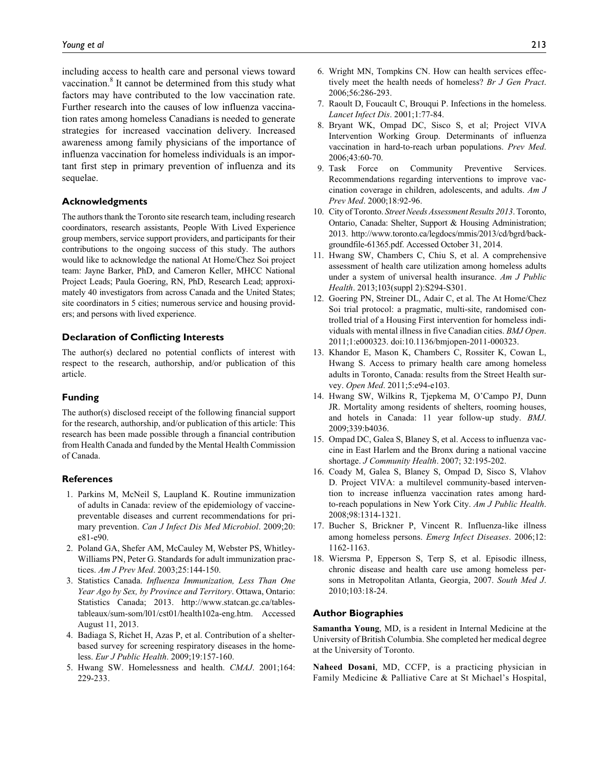including access to health care and personal views toward vaccination.<sup>8</sup> It cannot be determined from this study what factors may have contributed to the low vaccination rate. Further research into the causes of low influenza vaccination rates among homeless Canadians is needed to generate strategies for increased vaccination delivery. Increased awareness among family physicians of the importance of influenza vaccination for homeless individuals is an important first step in primary prevention of influenza and its sequelae.

#### **Acknowledgments**

The authors thank the Toronto site research team, including research coordinators, research assistants, People With Lived Experience group members, service support providers, and participants for their contributions to the ongoing success of this study. The authors would like to acknowledge the national At Home/Chez Soi project team: Jayne Barker, PhD, and Cameron Keller, MHCC National Project Leads; Paula Goering, RN, PhD, Research Lead; approximately 40 investigators from across Canada and the United States; site coordinators in 5 cities; numerous service and housing providers; and persons with lived experience.

#### **Declaration of Conflicting Interests**

The author(s) declared no potential conflicts of interest with respect to the research, authorship, and/or publication of this article.

#### **Funding**

The author(s) disclosed receipt of the following financial support for the research, authorship, and/or publication of this article: This research has been made possible through a financial contribution from Health Canada and funded by the Mental Health Commission of Canada.

#### **References**

- 1. Parkins M, McNeil S, Laupland K. Routine immunization of adults in Canada: review of the epidemiology of vaccinepreventable diseases and current recommendations for primary prevention. *Can J Infect Dis Med Microbiol*. 2009;20: e81-e90.
- 2. Poland GA, Shefer AM, McCauley M, Webster PS, Whitley-Williams PN, Peter G. Standards for adult immunization practices. *Am J Prev Med*. 2003;25:144-150.
- 3. Statistics Canada. *Influenza Immunization, Less Than One Year Ago by Sex, by Province and Territory*. Ottawa, Ontario: Statistics Canada; 2013. http://www.statcan.gc.ca/tablestableaux/sum-som/l01/cst01/health102a-eng.htm. Accessed August 11, 2013.
- 4. Badiaga S, Richet H, Azas P, et al. Contribution of a shelterbased survey for screening respiratory diseases in the homeless. *Eur J Public Health*. 2009;19:157-160.
- 5. Hwang SW. Homelessness and health. *CMAJ*. 2001;164: 229-233.
- 6. Wright MN, Tompkins CN. How can health services effectively meet the health needs of homeless? *Br J Gen Pract*. 2006;56:286-293.
- 7. Raoult D, Foucault C, Brouqui P. Infections in the homeless. *Lancet Infect Dis*. 2001;1:77-84.
- 8. Bryant WK, Ompad DC, Sisco S, et al; Project VIVA Intervention Working Group. Determinants of influenza vaccination in hard-to-reach urban populations. *Prev Med*. 2006;43:60-70.
- 9. Task Force on Community Preventive Services. Recommendations regarding interventions to improve vaccination coverage in children, adolescents, and adults. *Am J Prev Med*. 2000;18:92-96.
- 10. City of Toronto. *Street Needs Assessment Results 2013*. Toronto, Ontario, Canada: Shelter, Support & Housing Administration; 2013. http://www.toronto.ca/legdocs/mmis/2013/cd/bgrd/backgroundfile-61365.pdf. Accessed October 31, 2014.
- 11. Hwang SW, Chambers C, Chiu S, et al. A comprehensive assessment of health care utilization among homeless adults under a system of universal health insurance. *Am J Public Health*. 2013;103(suppl 2):S294-S301.
- 12. Goering PN, Streiner DL, Adair C, et al. The At Home/Chez Soi trial protocol: a pragmatic, multi-site, randomised controlled trial of a Housing First intervention for homeless individuals with mental illness in five Canadian cities. *BMJ Open*. 2011;1:e000323. doi:10.1136/bmjopen-2011-000323.
- 13. Khandor E, Mason K, Chambers C, Rossiter K, Cowan L, Hwang S. Access to primary health care among homeless adults in Toronto, Canada: results from the Street Health survey. *Open Med*. 2011;5:e94-e103.
- 14. Hwang SW, Wilkins R, Tjepkema M, O'Campo PJ, Dunn JR. Mortality among residents of shelters, rooming houses, and hotels in Canada: 11 year follow-up study. *BMJ*. 2009;339:b4036.
- 15. Ompad DC, Galea S, Blaney S, et al. Access to influenza vaccine in East Harlem and the Bronx during a national vaccine shortage. *J Community Health*. 2007; 32:195-202.
- 16. Coady M, Galea S, Blaney S, Ompad D, Sisco S, Vlahov D. Project VIVA: a multilevel community-based intervention to increase influenza vaccination rates among hardto-reach populations in New York City. *Am J Public Health*. 2008;98:1314-1321.
- 17. Bucher S, Brickner P, Vincent R. Influenza-like illness among homeless persons. *Emerg Infect Diseases*. 2006;12: 1162-1163.
- 18. Wiersma P, Epperson S, Terp S, et al. Episodic illness, chronic disease and health care use among homeless persons in Metropolitan Atlanta, Georgia, 2007. *South Med J*. 2010;103:18-24.

#### **Author Biographies**

**Samantha Young**, MD, is a resident in Internal Medicine at the University of British Columbia. She completed her medical degree at the University of Toronto.

**Naheed Dosani**, MD, CCFP, is a practicing physician in Family Medicine & Palliative Care at St Michael's Hospital,